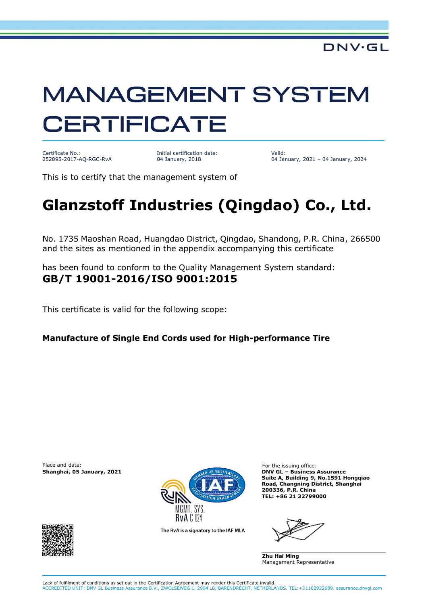## **MANAGEMENT SYSTEM CERTIFICATE**

Certificate No.: 252095-2017-AQ-RGC-RvA

Initial certification date: 04 January, 2018

Valid: 04 January, 2021 – 04 January, 2024

This is to certify that the management system of

## **Glanzstoff Industries (Qingdao) Co., Ltd.**

No. 1735 Maoshan Road, Huangdao District, Qingdao, Shandong, P.R. China, 266500 and the sites as mentioned in the appendix accompanying this certificate

has been found to conform to the Quality Management System standard: **GB/T 19001-2016/ISO 9001:2015**

This certificate is valid for the following scope:

**Manufacture of Single End Cords used for High-performance Tire**

Place and date: For the issuing office:<br> **Shanghai, 05 January, 2021** Changhai, 2021 Changhai, 2021 Changhai, 2021 Changhai, 2021



The RvA is a signatory to the IAF MLA

**Shanghai, 05 January, 2021 DNV GL – Business Assurance Suite A, Building 9, No.1591 Hongqiao Road, Changning District, Shanghai 200336, P.R. China TEL: +86 21 32799000**

**Zhu Hai Ming** Management Representative